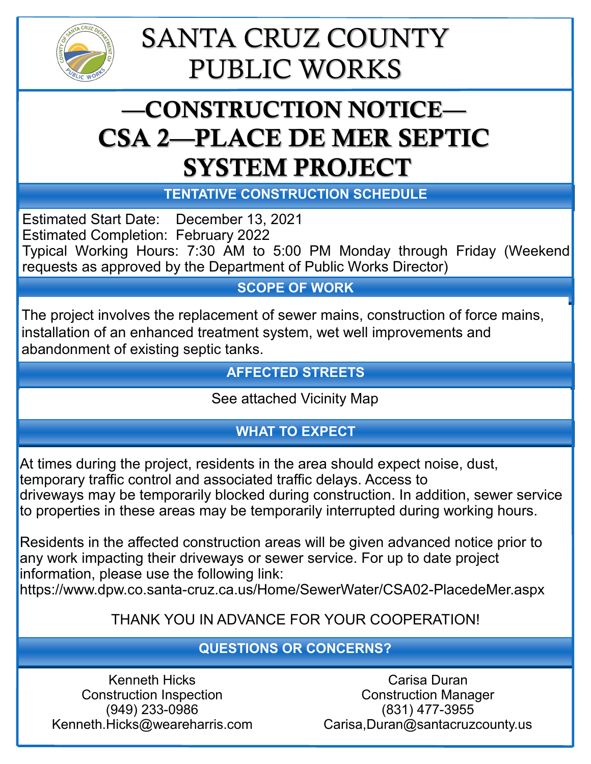

## SANTA CRUZ COUNTY PUBLIC WORKS

### —CONSTRUCTION NOTICE— CSA 2—PLACE DE MER SEPTIC SYSTEM PROJECT

**TENTATIVE CONSTRUCTION SCHEDULE**

Estimated Start Date: December 13, 2021 Estimated Completion: February 2022 Typical Working Hours: 7:30 AM to 5:00 PM Monday through Friday (Weekend requests as approved by the Department of Public Works Director)

#### **SCOPE OF WORK**

The project involves the replacement of sewer mains, construction of force mains, installation of an enhanced treatment system, wet well improvements and abandonment of existing septic tanks.

#### **AFFECTED STREETS**

See attached Vicinity Map

#### **WHAT TO EXPECT**

At times during the project, residents in the area should expect noise, dust, temporary traffic control and associated traffic delays. Access to driveways may be temporarily blocked during construction. In addition, sewer service to properties in these areas may be temporarily interrupted during working hours.

Residents in the affected construction areas will be given advanced notice prior to any work impacting their driveways or sewer service. For up to date project information, please use the following link:

https://www.dpw.co.santa-cruz.ca.us/Home/SewerWater/CSA02-PlacedeMer.aspx

#### THANK YOU IN ADVANCE FOR YOUR COOPERATION!

#### **QUESTIONS OR CONCERNS?**

Kenneth Hicks Construction Inspection (949) 233-0986 Kenneth.Hicks@weareharris.com

Carisa Duran Construction Manager (831) 477-3955 Carisa,Duran@santacruzcounty.us